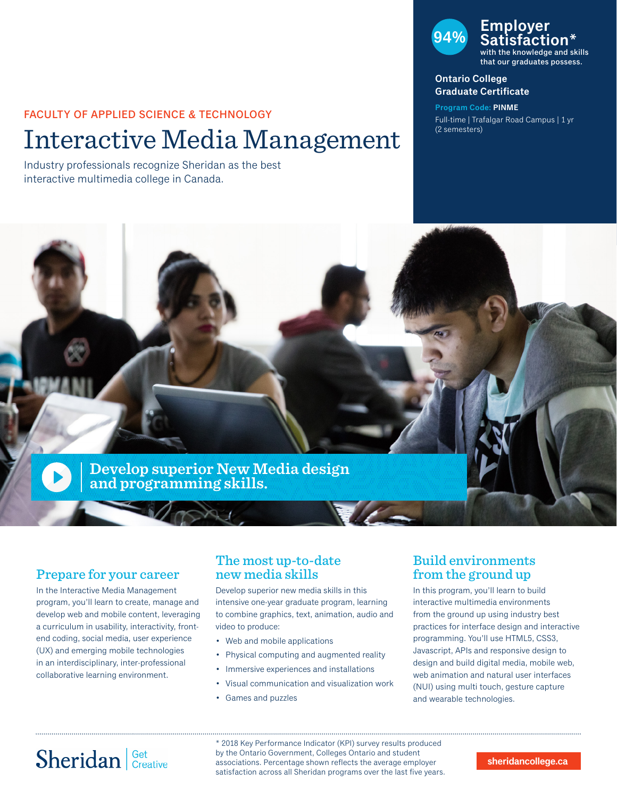#### FACULTY OF APPLIED SCIENCE & TECHNOLOGY

# Interactive Media Management

Industry professionals recognize Sheridan as the best interactive multimedia college in Canada.

### **94% Employer Satisfaction\*** with the knowledge and skills that our graduates possess.

#### **Ontario College Graduate Certificate**

**Program Code: PINME** Full-time | Trafalgar Road Campus | 1 yr (2 semesters)



### Prepare for your career

In the Interactive Media Management program, you'll learn to create, manage and develop web and mobile content, leveraging a curriculum in usability, interactivity, frontend coding, social media, user experience (UX) and emerging mobile technologies in an interdisciplinary, inter-professional collaborative learning environment.

### The most up-to-date new media skills

Develop superior new media skills in this intensive one-year graduate program, learning to combine graphics, text, animation, audio and video to produce:

- Web and mobile applications
- Physical computing and augmented reality
- Immersive experiences and installations
- Visual communication and visualization work
- Games and puzzles

## Build environments from the ground up

In this program, you'll learn to build interactive multimedia environments from the ground up using industry best practices for interface design and interactive programming. You'll use HTML5, CSS3, Javascript, APIs and responsive design to design and build digital media, mobile web, web animation and natural user interfaces (NUI) using multi touch, gesture capture and wearable technologies.

# Sheridan Get Creative

\* 2018 Key Performance Indicator (KPI) survey results produced by the Ontario Government, Colleges Ontario and student associations. Percentage shown reflects the average employer satisfaction across all Sheridan programs over the last five years.